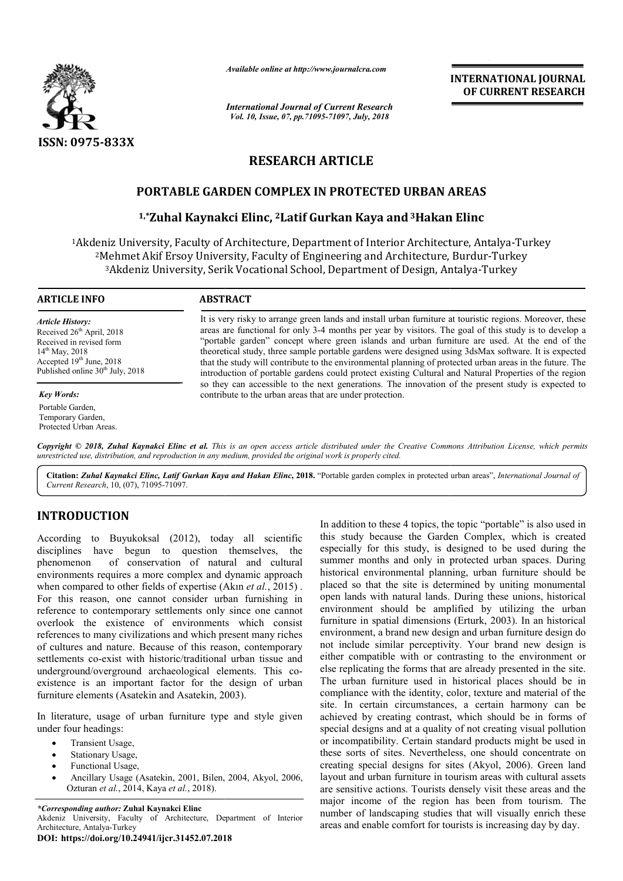

*Available online at http://www.journalcra.com*

*International Journal of Current Research Vol. 10, Issue, 07, pp.71095-71097, July, 2018*

**INTERNATIONAL JOURNAL OF CURRENT RESEARCH**

# **RESEARCH ARTICLE**

## **PORTABLE GARDEN COMPLEX IN PROTECTED URBAN AREAS**

## **1,\*Zuhal Kaynakci Elinc, 2Latif Gurkan Kaya and3Hakan Hakan Elinc**

1Akdeniz University, Faculty of Architecture, Department of Interior Architecture, Architecture, Antalya-Turkey <sup>2</sup>Mehmet Akif Ersoy University, Faculty of Engineering and Architecture, Burdur-Turkey <sup>3</sup>Akdeniz University, Serik Vocational School, Department of Design, Antalya-Turkey

#### **ARTICLE INFO ABSTRACT**

*Article History:* Received  $26<sup>th</sup>$  April, 2018 Received in revised form 14<sup>th</sup> May, 2018 Accepted 19<sup>th</sup> June, 2018 Published online 30<sup>th</sup> July, 2018

*Key Words:* Portable Garden, Temporary Garden, Protected Urban Areas. It is very risky to arrange green lands and install urban furniture at touristic regions. Moreover, these areas are functional for only 3 3-4 months per year by visitors. The goal of this study is to develop a "portable garden" concept where green islands and urban furniture are used. At the end of the theoretical study, three sample portable gardens were designed using 3dsMax software. It is expected that the study will contribute to the environmental planning of protected urban areas in the future. The introduction of portable gardens could protect existing Cultural and Natural Properties of the region so they can accessible to the next generations. The innovation of the present study is expected to contribute to the urban areas that are under protection. It is very risky to arrange green lands and install urban furniture at touristic regions. Moreover, these areas are functional for only 3-4 months per year by visitors. The goal of this study is to develop a "portable gard

Copyright © 2018, Zuhal Kaynakci Elinc et al. This is an open access article distributed under the Creative Commons Attribution License, which permits *unrestricted use, distribution, and reproduction in any medium, provided the original work is properly cited.*

Citation: Zuhal Kaynakci Elinc, Latif Gurkan Kaya and Hakan Elinc, 2018. "Portable garden complex in protected urban areas", *International Journal of Current Research*, 10, (07), 71095-71097.

## **INTRODUCTION**

According to Buyukoksal (2012), today all scientific disciplines have begun to question themselves, the phenomenon of conservation of natural and cultural environments requires a more complex and dynamic approach when compared to other fields of expertise (Akin *et al.*, 2015). For this reason, one cannot consider urban furnishing in reference to contemporary settlements only since one cannot overlook the existence of environments which consist references to many civilizations and which present many riches of cultures and nature. Because of this reason, contemporary settlements co-exist with historic/traditional urban tissue and underground/overground archaeological elements. This co existence is an important factor for the design of urban furniture elements (Asatekin and Asatekin, 2003). nature. Because of this reason, contemporary<br>exist with historic/traditional urban tissue and<br>verground archaeological elements. This co-

In literature, usage of urban furniture type and style given under four headings:

- Transient Usage,
- Stationary Usage,
- Functional Usage,
- Ancillary Usage (Asatekin, 2001, Bilen, 2004, Akyol, 2006, Ozturan *et al.*, 2014, Kaya *et al.*, 2018).

*\*Corresponding author:* **Zuhal Kaynakci Elinc** Akdeniz University, Faculty of Architecture, Department of Interior Architecture, Antalya-Turkey **DOI: https://doi.org/10.24941/ijcr.31452.07.2018**

In addition to these 4 topics, the topic "portable" is also used in<br>to the study because the Garden Complex, which is created<br>tion themselves, the especially for this study, is designed to be used during the<br> **r** attart a this study because the Garden Complex, which is created especially for this study, is designed to be used during the summer months and only in protected urban spaces. During historical environmental planning, urban furniture should be placed so that the site is determined by uniting monumental open lands with natural lands. During these unions, historical environment should be amplified by utilizing the urban furniture in spatial dimensions (Erturk, 2003). In an historical environment, a brand new design and urban furniture design do not include similar perceptivity. Your brand new design is either compatible with or contrasting to the environment or else replicating the forms that are already presented in the site. The urban furniture used in historical places should be in compliance with the identity, color, texture and material of the site. In certain circumstances, a certain harmony can be achieved by creating contrast, which should be in forms of special designs and at a quality of not creating visual pollution or incompatibility. Certain standard products mi these sorts of sites. Nevertheless, one should concentrate on these sorts of sites. Nevertheless, one should concentrate on creating special designs for sites (Akyol, 2006). Green land layout and urban furniture in tourism areas with cultural assets layout and urban furniture in tourism areas with cultural assets are sensitive actions. Tourists densely visit these areas and the major income of the region has been from tourism. The number of landscaping studies that will visually enrich these areas and enable comfort for tourists is increasing day by day. In addition to these 4 topics, the topic "portable" is also used in this study because the Garden Complex, which is created especially for this study, is designed to be used during the summer months and only in protected u either compatible with or contrasting to the environment or else replicating the forms that are already presented in the site.<br>The urban furniture used in historical places should be in compliance with the identity, color, certain circumstances, a certain harmony can be by creating contrast, which should be in forms of esigns and at a quality of not creating visual pollution patibility. Certain standard products might be used in INTERNATIONAL JOURNAL<br>
INTERNATIONAL JOURNAL<br> **Engine the CONDINEMENT RESEARCH**<br> **ENGINE TO CURRENT RESEARCH**<br> **ENGINE TO URBAN AREAS**<br> **ENGINE TO URBAN AREAS**<br> **ENGINE AND AREAS**<br> **ENGINE AND AREAS**<br> **ENGINE AND AREAS**<br>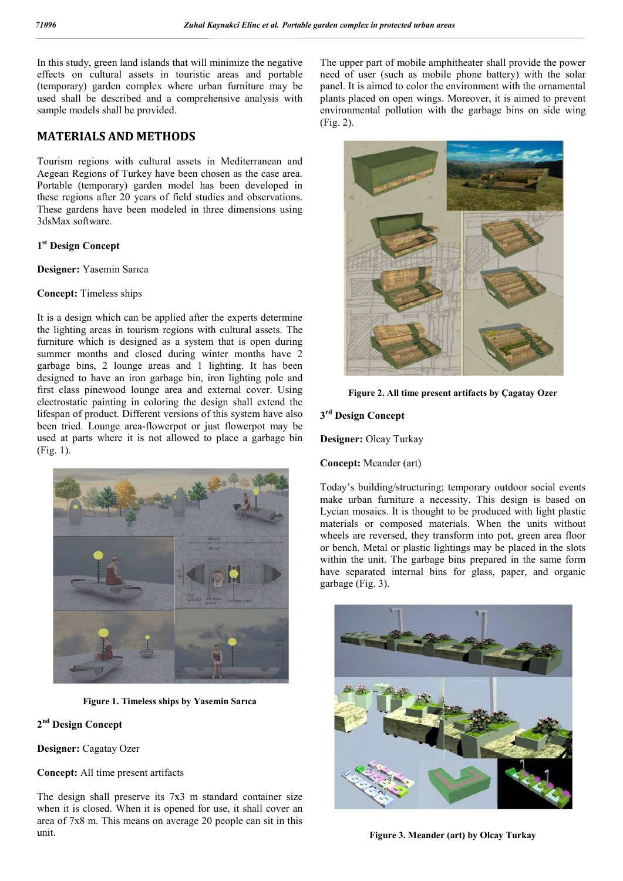In this study, green land islands that will minimize the negative effects on cultural assets in touristic areas and portable (temporary) garden complex where urban furniture may be used shall be described and a comprehensive analysis with sample models shall be provided.

## **MATERIALS AND METHODS**

Tourism regions with cultural assets in Mediterranean and Aegean Regions of Turkey have been chosen as the case area. Portable (temporary) garden model has been developed in these regions after 20 years of field studies and observations. These gardens have been modeled in three dimensions using 3dsMax software.

## **1st Design Concept**

**Designer:** Yasemin Sarıca

### **Concept:** Timeless ships

It is a design which can be applied after the experts determine the lighting areas in tourism regions with cultural assets. The furniture which is designed as a system that is open during summer months and closed during winter months have 2 garbage bins, 2 lounge areas and 1 lighting. It has been designed to have an iron garbage bin, iron lighting pole and first class pinewood lounge area and external cover. Using electrostatic painting in coloring the design shall extend the lifespan of product. Different versions of this system have also been tried. Lounge area-flowerpot or just flowerpot may be used at parts where it is not allowed to place a garbage bin (Fig. 1).



**Figure 1. Timeless ships by Yasemin Sarıca**

**2nd Design Concept**

**Designer:** Cagatay Ozer

**Concept:** All time present artifacts

The design shall preserve its 7x3 m standard container size when it is closed. When it is opened for use, it shall cover an area of 7x8 m. This means on average 20 people can sit in this unit.

The upper part of mobile amphitheater shall provide the power need of user (such as mobile phone battery) with the solar panel. It is aimed to color the environment with the ornamental plants placed on open wings. Moreover, it is aimed to prevent environmental pollution with the garbage bins on side wing (Fig. 2).



**Figure 2. All time present artifacts by Çagatay Ozer**

#### **3rd Design Concept**

**Designer:** Olcay Turkay

**Concept:** Meander (art)

Today's building/structuring; temporary outdoor social events make urban furniture a necessity. This design is based on Lycian mosaics. It is thought to be produced with light plastic materials or composed materials. When the units without wheels are reversed, they transform into pot, green area floor or bench. Metal or plastic lightings may be placed in the slots within the unit. The garbage bins prepared in the same form have separated internal bins for glass, paper, and organic garbage (Fig. 3).



**Figure 3. Meander (art) by Olcay Turkay**